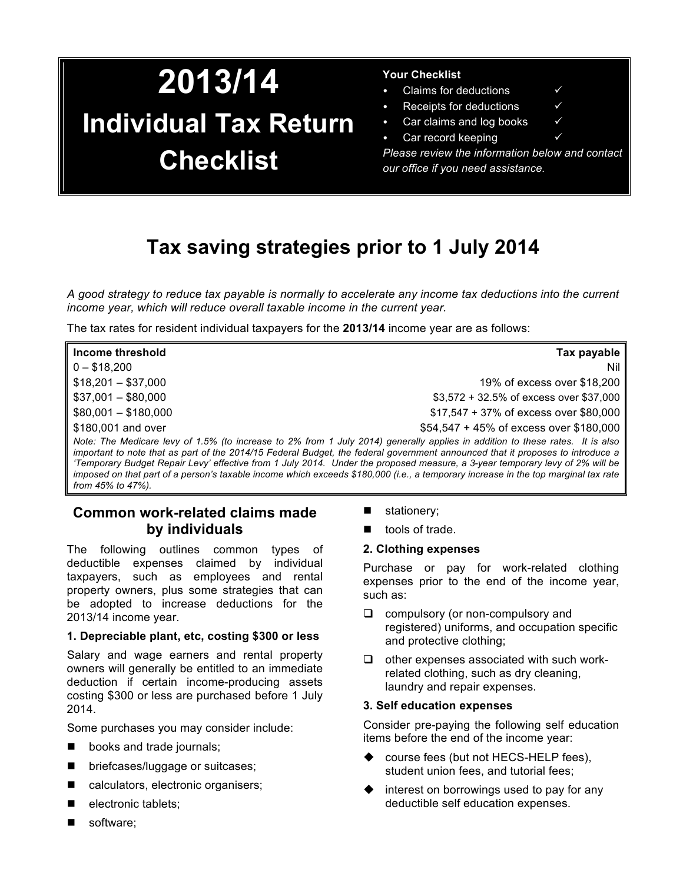# **2013/14 Individual Tax Return Checklist**

### **Your Checklist**

- Claims for deductions  $\checkmark$ 
	- Receipts for deductions
- Car claims and log books
- Car record keeping

*Please review the information below and contact our office if you need assistance.*

# **Tax saving strategies prior to 1 July 2014**

*A good strategy to reduce tax payable is normally to accelerate any income tax deductions into the current income year, which will reduce overall taxable income in the current year.* 

The tax rates for resident individual taxpayers for the **2013/14** income year are as follows:

| Income threshold     | Tax payable                                                                                                                   |
|----------------------|-------------------------------------------------------------------------------------------------------------------------------|
| $0 - $18.200$        | Nil                                                                                                                           |
| $$18,201 - $37,000$  | 19% of excess over \$18,200                                                                                                   |
| $$37,001 - $80,000$  | $$3,572 + 32.5\%$ of excess over \$37,000                                                                                     |
| $$80,001 - $180,000$ | \$17,547 + 37% of excess over \$80,000                                                                                        |
| \$180,001 and over   | $$54,547 + 45\%$ of excess over \$180,000                                                                                     |
|                      | Note: The Medicare levy of 1.5% (to increase to 2% from 1 July 2014) generally applies in addition to these rates. It is also |

*important to note that as part of the 2014/15 Federal Budget, the federal government announced that it proposes to introduce a 'Temporary Budget Repair Levy' effective from 1 July 2014. Under the proposed measure, a 3-year temporary levy of 2% will be imposed on that part of a person's taxable income which exceeds \$180,000 (i.e., a temporary increase in the top marginal tax rate from 45% to 47%).*

# **Common work-related claims made by individuals**

The following outlines common types of deductible expenses claimed by individual taxpayers, such as employees and rental property owners, plus some strategies that can be adopted to increase deductions for the 2013/14 income year.

### **1. Depreciable plant, etc, costing \$300 or less**

Salary and wage earners and rental property owners will generally be entitled to an immediate deduction if certain income-producing assets costing \$300 or less are purchased before 1 July 2014.

Some purchases you may consider include:

- **n** books and trade journals;
- briefcases/luggage or suitcases;
- calculators, electronic organisers;
- electronic tablets;
- software;
- $\blacksquare$  stationery;
- tools of trade.

### **2. Clothing expenses**

Purchase or pay for work-related clothing expenses prior to the end of the income year, such as:

- $\Box$  compulsory (or non-compulsory and registered) uniforms, and occupation specific and protective clothing;
- $\Box$  other expenses associated with such workrelated clothing, such as dry cleaning, laundry and repair expenses.

### **3. Self education expenses**

Consider pre-paying the following self education items before the end of the income year:

- course fees (but not HECS-HELP fees), student union fees, and tutorial fees;
- interest on borrowings used to pay for any deductible self education expenses.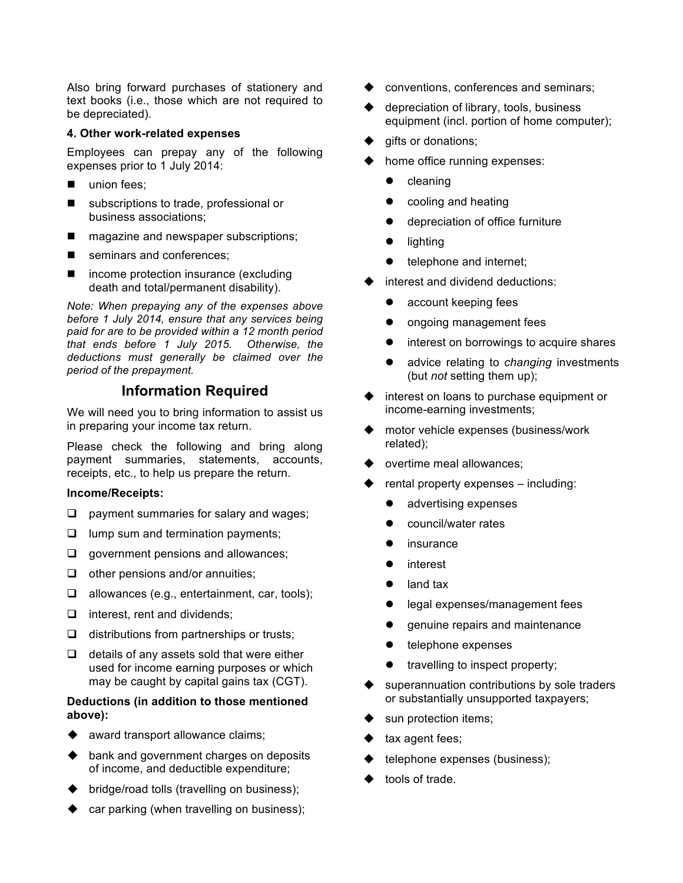Also bring forward purchases of stationery and text books (i.e., those which are not required to be depreciated).

#### **4. Other work-related expenses**

Employees can prepay any of the following expenses prior to 1 July 2014:

- union fees;
- subscriptions to trade, professional or business associations;
- $\blacksquare$  magazine and newspaper subscriptions;
- seminars and conferences;
- $\blacksquare$  income protection insurance (excluding death and total/permanent disability).

*Note: When prepaying any of the expenses above before 1 July 2014, ensure that any services being paid for are to be provided within a 12 month period that ends before 1 July 2015. Otherwise, the deductions must generally be claimed over the period of the prepayment.*

# **Information Required**

We will need you to bring information to assist us in preparing your income tax return.

Please check the following and bring along payment summaries, statements, accounts, receipts, etc., to help us prepare the return.

### **Income/Receipts:**

- $\Box$  payment summaries for salary and wages;
- $\Box$  lump sum and termination payments;
- $\Box$  government pensions and allowances;
- $\Box$  other pensions and/or annuities;
- $\Box$  allowances (e.g., entertainment, car, tools);
- $\Box$  interest, rent and dividends;
- $\Box$  distributions from partnerships or trusts;
- $\Box$  details of any assets sold that were either used for income earning purposes or which may be caught by capital gains tax (CGT).

### **Deductions (in addition to those mentioned above):**

- $\triangleleft$  award transport allowance claims;
- $\rightarrow$  bank and government charges on deposits of income, and deductible expenditure;
- $\blacktriangleright$  bridge/road tolls (travelling on business);
- car parking (when travelling on business);
- conventions, conferences and seminars;
- depreciation of library, tools, business equipment (incl. portion of home computer);
- gifts or donations;
- home office running expenses:
	- cleaning
	- cooling and heating
	- depreciation of office furniture
	- lighting
	- telephone and internet;
- interest and dividend deductions:
	- $\bullet$  account keeping fees
	- **•** ongoing management fees
	- interest on borrowings to acquire shares
	- advice relating to *changing* investments (but *not* setting them up);
- interest on loans to purchase equipment or income-earning investments;
- motor vehicle expenses (business/work related);
- overtime meal allowances;
- rental property expenses including:
	- advertising expenses
	- council/water rates
	- insurance
	- interest
	- land tax
	- legal expenses/management fees
	- genuine repairs and maintenance
	- $\bullet$  telephone expenses
	- $\bullet$  travelling to inspect property;
- superannuation contributions by sole traders or substantially unsupported taxpayers;
- sun protection items;
- tax agent fees;
- telephone expenses (business);
- tools of trade.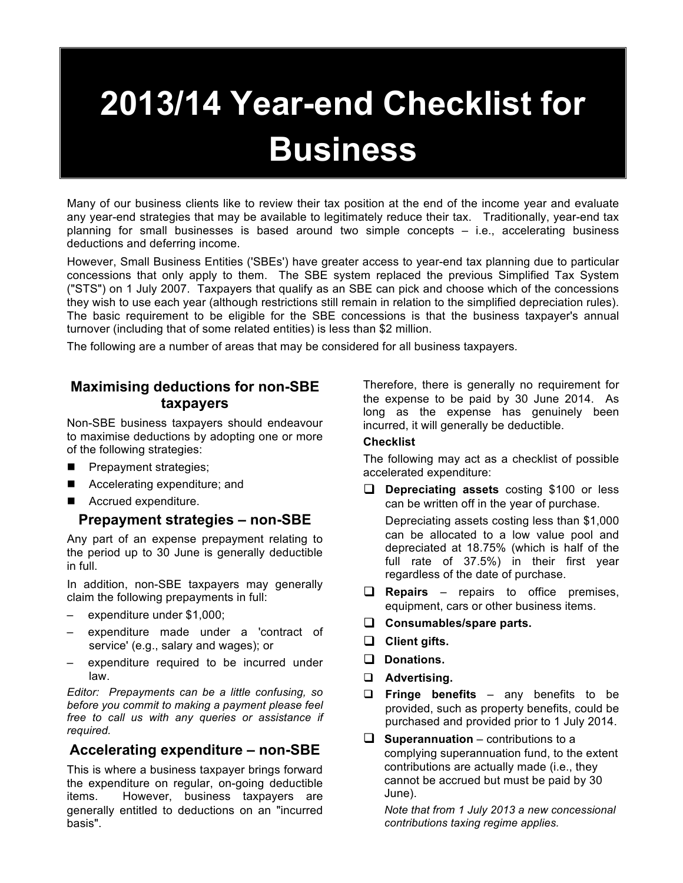# **2013/14 Year-end Checklist for Business**

Many of our business clients like to review their tax position at the end of the income year and evaluate any year-end strategies that may be available to legitimately reduce their tax. Traditionally, year-end tax planning for small businesses is based around two simple concepts – i.e., accelerating business deductions and deferring income.

However, Small Business Entities ('SBEs') have greater access to year-end tax planning due to particular concessions that only apply to them. The SBE system replaced the previous Simplified Tax System ("STS") on 1 July 2007. Taxpayers that qualify as an SBE can pick and choose which of the concessions they wish to use each year (although restrictions still remain in relation to the simplified depreciation rules). The basic requirement to be eligible for the SBE concessions is that the business taxpayer's annual turnover (including that of some related entities) is less than \$2 million.

The following are a number of areas that may be considered for all business taxpayers.

# **Maximising deductions for non-SBE taxpayers**

Non-SBE business taxpayers should endeavour to maximise deductions by adopting one or more of the following strategies:

- **Prepayment strategies;**
- Accelerating expenditure; and
- Accrued expenditure.

# **Prepayment strategies – non-SBE**

Any part of an expense prepayment relating to the period up to 30 June is generally deductible in full.

In addition, non-SBE taxpayers may generally claim the following prepayments in full:

- expenditure under \$1,000;
- expenditure made under a 'contract of service' (e.g., salary and wages); or
- expenditure required to be incurred under law.

*Editor: Prepayments can be a little confusing, so before you commit to making a payment please feel free to call us with any queries or assistance if required.*

# **Accelerating expenditure – non-SBE**

This is where a business taxpayer brings forward the expenditure on regular, on-going deductible items. However, business taxpayers are generally entitled to deductions on an "incurred basis".

Therefore, there is generally no requirement for the expense to be paid by 30 June 2014. As long as the expense has genuinely been incurred, it will generally be deductible.

### **Checklist**

The following may act as a checklist of possible accelerated expenditure:

**Q** Depreciating assets costing \$100 or less can be written off in the year of purchase.

Depreciating assets costing less than \$1,000 can be allocated to a low value pool and depreciated at 18.75% (which is half of the full rate of 37.5%) in their first year regardless of the date of purchase.

- **Q Repairs** repairs to office premises, equipment, cars or other business items.
- **Q** Consumables/spare parts.
- **Q** Client gifts.
- □ Donations.
- q **Advertising.**
- q **Fringe benefits**  any benefits to be provided, such as property benefits, could be purchased and provided prior to 1 July 2014.
- $\Box$  **Superannuation** contributions to a complying superannuation fund, to the extent contributions are actually made (i.e., they cannot be accrued but must be paid by 30 June).

*Note that from 1 July 2013 a new concessional contributions taxing regime applies.*